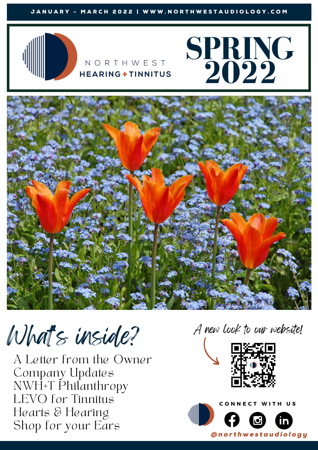

### NORTHWEST **HEARING+TINNITUS**





What's inside?

A Letter from the Owner Company Updates NWH+T Philanthropy LEVO for Tinnitus Hearts & Hearing Shop for your Ears

A new look to our website!



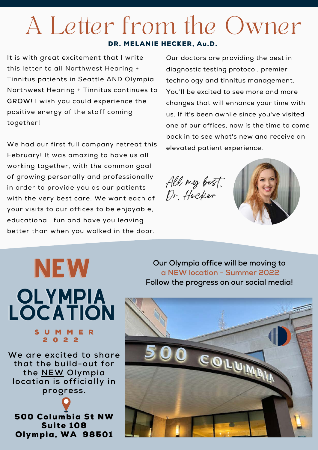# A Letter from the Owner

#### DR. MELANIE HECKER, Au.D.

It is with great excitement that I write this letter to all Northwest Hearing + Tinnitus patients in Seattle AND Olympia. Northwest Hearing + Tinnitus continues to **GROW**! I wish you could experience the positive energy of the staff coming together!

We had our first full company retreat this February! It was amazing to have us all working together, with the common goal of growing personally and professionally in order to provide you as our patients with the very best care. We want each of your visits to our offices to be enjoyable, educational, fun and have you leaving better than when you walked in the door.

Our doctors are providing the best in diagnostic testing protocol, premier technology and tinnitus management. You'll be excited to see more and more changes that will enhance your time with us. If it's been awhile since you've visited one of our offices, now is the time to come back in to see what's new and receive an elevated patient experience.

All my best, Dr. Hecker



# NEW **OLYMPIA** LOCATION

#### S U M M E R 2 0 2 2

**We are excited to share that the build-out for the NEW Olympia location is officially in progress.**

500 Columbia St NW Suite 108 Olympia, WA 98501

**Our Olympia office will be moving to a NEW location - Summer 2022 Follow the progress on our social media!**

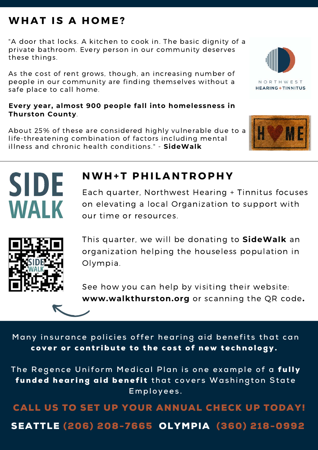### WHAT IS A HOME?

"A door that locks. A kitchen to cook in. The basic dignity of a private bathroom. Every person in our community deserves these things.

As the cost of rent grows, though, an increasing number of people in our community are finding themselves without a safe place to call home.

### **Every year, almost 900 people fall into homelessness in Thurston County**.

About 25% of these are considered highly vulnerable due to a life-threatening combination of factors including mental illness and chronic health conditions." - **SideWalk**



Each quarter, Northwest Hearing + Tinnitus focuses on elevating a local Organization to support with our time or resources.



**SIDE** 

**WALK** 

This quarter, we will be donating to **SideWalk** an organization helping the houseless population in Olympia.

See how you can help by visiting their website: **www.walkthurston.org** or scanning the QR code**.** 

Many insurance policies offer hearing aid benefits that can cover or contribute to the cost of new technology.

The Regence Uniform Medical Plan is one example of a *fully* funded hearing aid benefit that covers Washington State **E m p l o y e e s .**

CALL US TO SET UP YOUR ANNUAL CHECK UP TODAY! SEATTLE (206) 208-7665 OLYMPIA (360) 218-0992



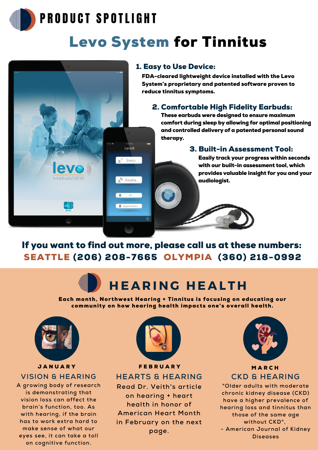

### PRODUCT SPOTLIGHT

## Levo System for Tinnitus



FDA-cleared lightweight device installed with the Levo System's proprietary and patented software proven to reduce tinnitus symptoms.

### 2. Comfortable High Fidelity Earbuds:

These earbuds were designed to ensure maximum comfort during sleep by allowing for optimal positioning and controlled delivery of a patented personal sound therapy.

### 3. Built-in Assessment Tool:

Easily track your progress within seconds with our built-in assessment tool, which provides valuable insight for you and your audiologist.

SEATTLE (206) 208-7665OLYMPIA (360) 218-0992 If you want to find out more, please call us at these numbers:

Levo®

 $\mathbf{e}^{\mathbf{z}^{\mathbf{z}}_{2}}$  Sleep

.<sup>8</sup> Awake

 $\blacksquare$  App

## **H E A R I N G H E A L T H**

Each month, Northwest Hearing + Tinnitus is focusing on educating our community on how hearing health impacts one's overall health.



#### **JANUARY VISION & HEARING**

**A growing body of research is demonstrating that vision loss can affect the brain's function, too. As with hearing, if the brain has to work extra hard to make sense of what our eyes see, it can take a toll on cognitive function.**



**FEBRUARY HEARTS & HEARING**

**Read Dr. Veith's article on hearing + heart health in honor of American Heart Month in February on the next page.**



### **MARCH CKD & HEARING**

**"Older adults with moderate chronic kidney disease (CKD) have a higher prevalence of hearing loss and tinnitus than those of the same age without CKD", - American Journal of Kidney Diseases**